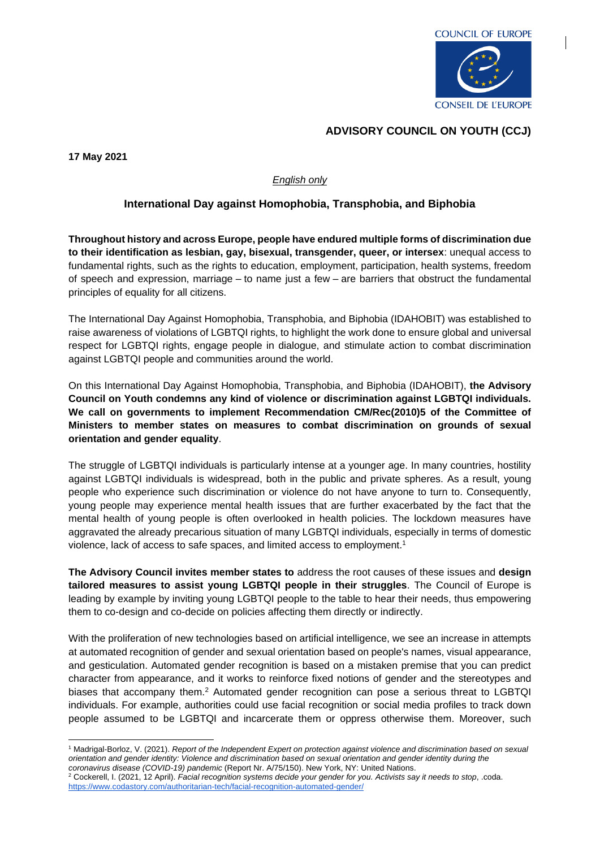

## **ADVISORY COUNCIL ON YOUTH (CCJ)**

**17 May 2021**

## *English only*

## **International Day against Homophobia, Transphobia, and Biphobia**

**Throughout history and across Europe, people have endured multiple forms of discrimination due to their identification as lesbian, gay, bisexual, transgender, queer, or intersex**: unequal access to fundamental rights, such as the rights to education, employment, participation, health systems, freedom of speech and expression, marriage – to name just a few – are barriers that obstruct the fundamental principles of equality for all citizens.

The International Day Against Homophobia, Transphobia, and Biphobia (IDAHOBIT) was established to raise awareness of violations of LGBTQI rights, to highlight the work done to ensure global and universal respect for LGBTQI rights, engage people in dialogue, and stimulate action to combat discrimination against LGBTQI people and communities around the world.

On this International Day Against Homophobia, Transphobia, and Biphobia (IDAHOBIT), **the Advisory Council on Youth condemns any kind of violence or discrimination against LGBTQI individuals. We call on governments to implement Recommendation CM/Rec(2010)5 of the Committee of Ministers to member states on measures to combat discrimination on grounds of sexual orientation and gender equality**.

The struggle of LGBTQI individuals is particularly intense at a younger age. In many countries, hostility against LGBTQI individuals is widespread, both in the public and private spheres. As a result, young people who experience such discrimination or violence do not have anyone to turn to. Consequently, young people may experience mental health issues that are further exacerbated by the fact that the mental health of young people is often overlooked in health policies. The lockdown measures have aggravated the already precarious situation of many LGBTQI individuals, especially in terms of domestic violence, lack of access to safe spaces, and limited access to employment.<sup>1</sup>

**The Advisory Council invites member states to** address the root causes of these issues and **design tailored measures to assist young LGBTQI people in their struggles**. The Council of Europe is leading by example by inviting young LGBTQI people to the table to hear their needs, thus empowering them to co-design and co-decide on policies affecting them directly or indirectly.

With the proliferation of new technologies based on artificial intelligence, we see an increase in attempts at automated recognition of gender and sexual orientation based on people's names, visual appearance, and gesticulation. Automated gender recognition is based on a mistaken premise that you can predict character from appearance, and it works to reinforce fixed notions of gender and the stereotypes and biases that accompany them.<sup>2</sup> Automated gender recognition can pose a serious threat to LGBTQI individuals. For example, authorities could use facial recognition or social media profiles to track down people assumed to be LGBTQI and incarcerate them or oppress otherwise them. Moreover, such

<sup>1</sup> Madrigal-Borloz, V. (2021). *Report of the Independent Expert on protection against violence and discrimination based on sexual orientation and gender identity: Violence and discrimination based on sexual orientation and gender identity during the coronavirus disease (COVID-19) pandemic* (Report Nr. A/75/150). New York, NY: United Nations.

<sup>2</sup> Cockerell, I. (2021, 12 April). *Facial recognition systems decide your gender for you. Activists say it needs to stop*, .coda. <https://www.codastory.com/authoritarian-tech/facial-recognition-automated-gender/>